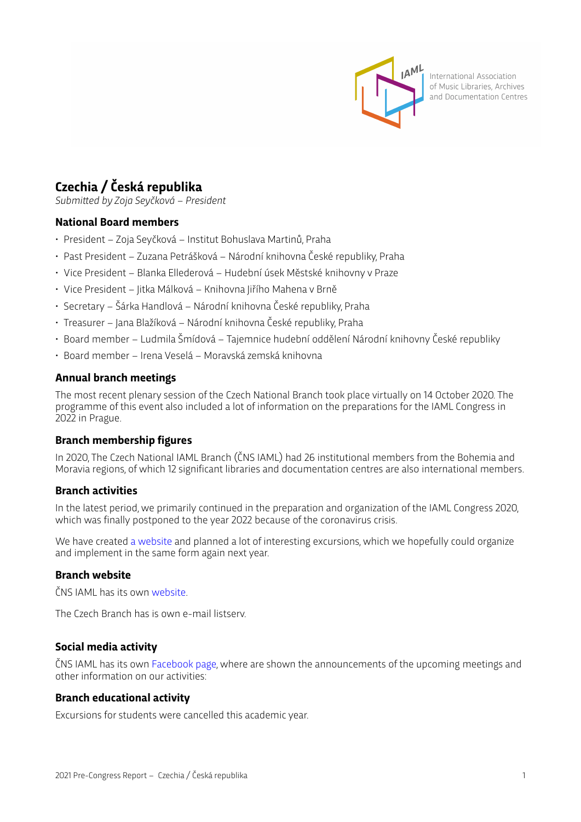

International Association of Music Libraries, Archives and Documentation Centres

# **Czechia / Česká republika**

*Submitted by Zoja Seyčková – President*

# **National Board members**

- President Zoja Seyčková Institut Bohuslava Martinů, Praha
- Past President Zuzana Petrášková Národní knihovna České republiky, Praha
- Vice President Blanka Ellederová Hudební úsek Městské knihovny v Praze
- Vice President Jitka Málková Knihovna Jiřího Mahena v Brně
- Secretary Šárka Handlová Národní knihovna České republiky, Praha
- Treasurer Jana Blažíková Národní knihovna České republiky, Praha
- Board member Ludmila Šmídová Tajemnice hudební oddělení Národní knihovny České republiky
- Board member Irena Veselá Moravská zemská knihovna

#### **Annual branch meetings**

The most recent plenary session of the Czech National Branch took place virtually on 14 October 2020. The programme of this event also included a lot of information on the preparations for the IAML Congress in 2022 in Prague.

# **Branch membership figures**

In 2020, The Czech National IAML Branch (ČNS IAML) had 26 institutional members from the Bohemia and Moravia regions, of which 12 significant libraries and documentation centres are also international members.

#### **Branch activities**

In the latest period, we primarily continued in the preparation and organization of the IAML Congress 2020, which was finally postponed to the year 2022 because of the coronavirus crisis.

We have created [a website](https://www.iaml2022.cz) and planned a lot of interesting excursions, which we hopefully could organize and implement in the same form again next year.

#### **Branch website**

ČNS IAML has its own [website.](http://wwwold.nkp.cz/iaml/)

The Czech Branch has is own e-mail listserv.

#### **Social media activity**

ČNS IAML has its own [Facebook page,](https://www.facebook.com/groups/467059256651444/) where are shown the announcements of the upcoming meetings and other information on our activities:

#### **Branch educational activity**

Excursions for students were cancelled this academic year.